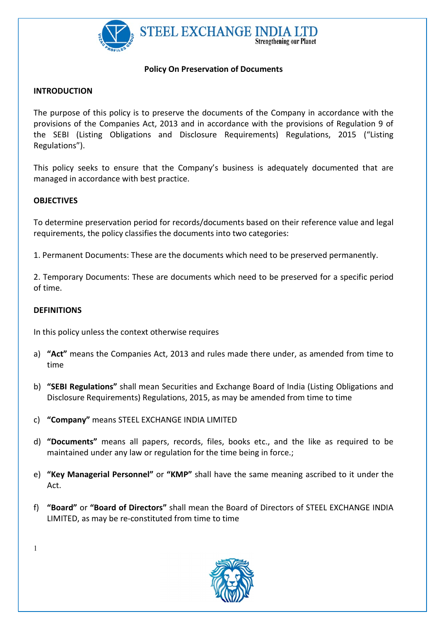

#### Policy On Preservation of Documents

#### INTRODUCTION

The purpose of this policy is to preserve the documents of the Company in accordance with the provisions of the Companies Act, 2013 and in accordance with the provisions of Regulation 9 of the SEBI (Listing Obligations and Disclosure Requirements) Regulations, 2015 ("Listing Regulations").

This policy seeks to ensure that the Company's business is adequately documented that are managed in accordance with best practice.

## **OBJECTIVES**

To determine preservation period for records/documents based on their reference value and legal requirements, the policy classifies the documents into two categories:

1. Permanent Documents: These are the documents which need to be preserved permanently.

2. Temporary Documents: These are documents which need to be preserved for a specific period of time.

## **DEFINITIONS**

In this policy unless the context otherwise requires

- a) "Act" means the Companies Act, 2013 and rules made there under, as amended from time to time
- b) "SEBI Regulations" shall mean Securities and Exchange Board of India (Listing Obligations and Disclosure Requirements) Regulations, 2015, as may be amended from time to time
- c) "Company" means STEEL EXCHANGE INDIA LIMITED
- d) "Documents" means all papers, records, files, books etc., and the like as required to be maintained under any law or regulation for the time being in force.;
- e) "Key Managerial Personnel" or "KMP" shall have the same meaning ascribed to it under the Act.
- f) "Board" or "Board of Directors" shall mean the Board of Directors of STEEL EXCHANGE INDIA LIMITED, as may be re-constituted from time to time



1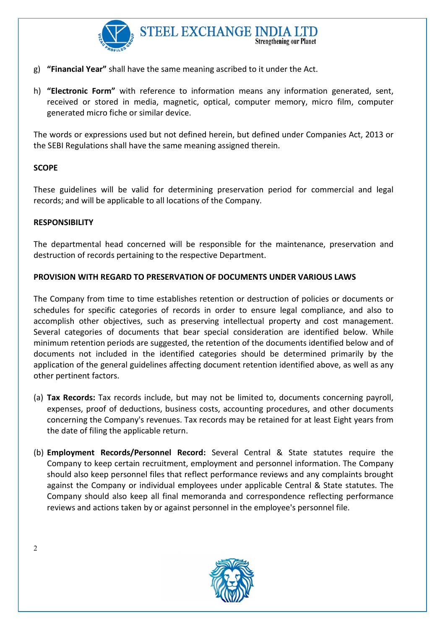

- g) "Financial Year" shall have the same meaning ascribed to it under the Act.
- h) "Electronic Form" with reference to information means any information generated, sent, received or stored in media, magnetic, optical, computer memory, micro film, computer generated micro fiche or similar device.

The words or expressions used but not defined herein, but defined under Companies Act, 2013 or the SEBI Regulations shall have the same meaning assigned therein.

## **SCOPE**

These guidelines will be valid for determining preservation period for commercial and legal records; and will be applicable to all locations of the Company.

## **RESPONSIBILITY**

The departmental head concerned will be responsible for the maintenance, preservation and destruction of records pertaining to the respective Department.

## PROVISION WITH REGARD TO PRESERVATION OF DOCUMENTS UNDER VARIOUS LAWS

The Company from time to time establishes retention or destruction of policies or documents or schedules for specific categories of records in order to ensure legal compliance, and also to accomplish other objectives, such as preserving intellectual property and cost management. Several categories of documents that bear special consideration are identified below. While minimum retention periods are suggested, the retention of the documents identified below and of documents not included in the identified categories should be determined primarily by the application of the general guidelines affecting document retention identified above, as well as any other pertinent factors.

- (a) Tax Records: Tax records include, but may not be limited to, documents concerning payroll, expenses, proof of deductions, business costs, accounting procedures, and other documents concerning the Company's revenues. Tax records may be retained for at least Eight years from the date of filing the applicable return.
- (b) Employment Records/Personnel Record: Several Central & State statutes require the Company to keep certain recruitment, employment and personnel information. The Company should also keep personnel files that reflect performance reviews and any complaints brought against the Company or individual employees under applicable Central & State statutes. The Company should also keep all final memoranda and correspondence reflecting performance reviews and actions taken by or against personnel in the employee's personnel file.



2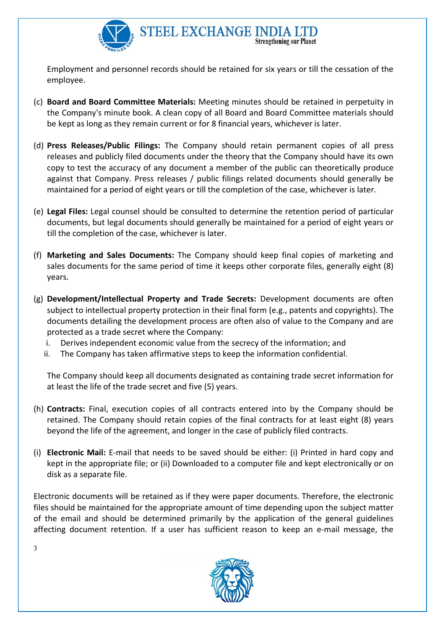

Employment and personnel records should be retained for six years or till the cessation of the employee.

- (c) Board and Board Committee Materials: Meeting minutes should be retained in perpetuity in the Company's minute book. A clean copy of all Board and Board Committee materials should be kept as long as they remain current or for 8 financial years, whichever is later.
- (d) Press Releases/Public Filings: The Company should retain permanent copies of all press releases and publicly filed documents under the theory that the Company should have its own copy to test the accuracy of any document a member of the public can theoretically produce against that Company. Press releases / public filings related documents should generally be maintained for a period of eight years or till the completion of the case, whichever is later.
- (e) Legal Files: Legal counsel should be consulted to determine the retention period of particular documents, but legal documents should generally be maintained for a period of eight years or till the completion of the case, whichever is later.
- (f) Marketing and Sales Documents: The Company should keep final copies of marketing and sales documents for the same period of time it keeps other corporate files, generally eight (8) years.
- (g) Development/Intellectual Property and Trade Secrets: Development documents are often subject to intellectual property protection in their final form (e.g., patents and copyrights). The documents detailing the development process are often also of value to the Company and are protected as a trade secret where the Company:
	- i. Derives independent economic value from the secrecy of the information; and
	- ii. The Company has taken affirmative steps to keep the information confidential.

The Company should keep all documents designated as containing trade secret information for at least the life of the trade secret and five (5) years.

- (h) Contracts: Final, execution copies of all contracts entered into by the Company should be retained. The Company should retain copies of the final contracts for at least eight (8) years beyond the life of the agreement, and longer in the case of publicly filed contracts.
- (i) Electronic Mail: E-mail that needs to be saved should be either: (i) Printed in hard copy and kept in the appropriate file; or (ii) Downloaded to a computer file and kept electronically or on disk as a separate file.

Electronic documents will be retained as if they were paper documents. Therefore, the electronic files should be maintained for the appropriate amount of time depending upon the subject matter of the email and should be determined primarily by the application of the general guidelines affecting document retention. If a user has sufficient reason to keep an e-mail message, the



3